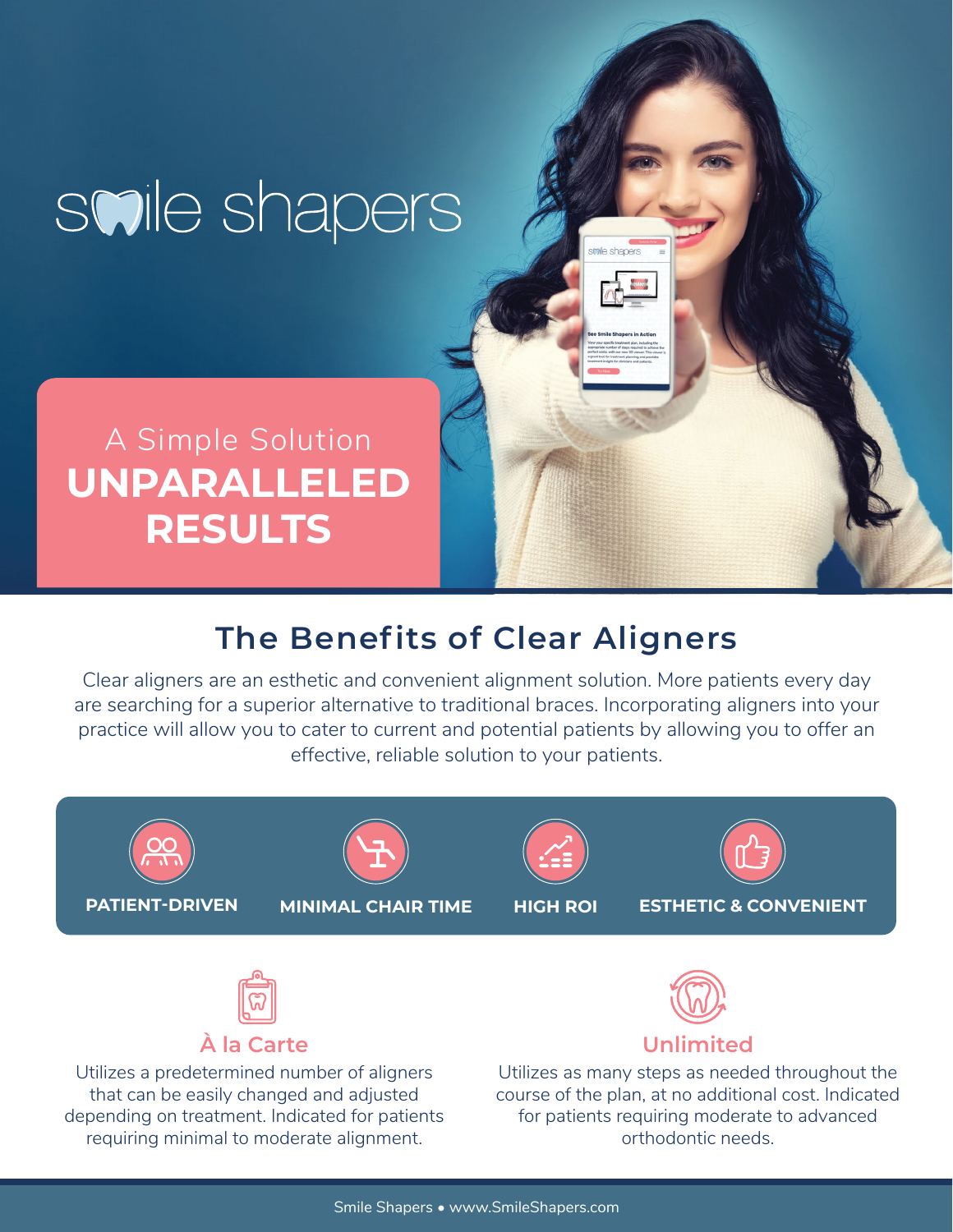# swile shapers

# A Simple Solution **UNPARALLELED RESULTS**

Utilizes a predetermined number of aligners that can be easily changed and adjusted depending on treatment. Indicated for patients requiring minimal to moderate alignment.

## **The Benefits of Clear Aligners**

Clear aligners are an esthetic and convenient alignment solution. More patients every day are searching for a superior alternative to traditional braces. Incorporating aligners into your practice will allow you to cater to current and potential patients by allowing you to offer an effective, reliable solution to your patients.



Utilizes as many steps as needed throughout the course of the plan, at no additional cost. Indicated for patients requiring moderate to advanced orthodontic needs.

**The Season**